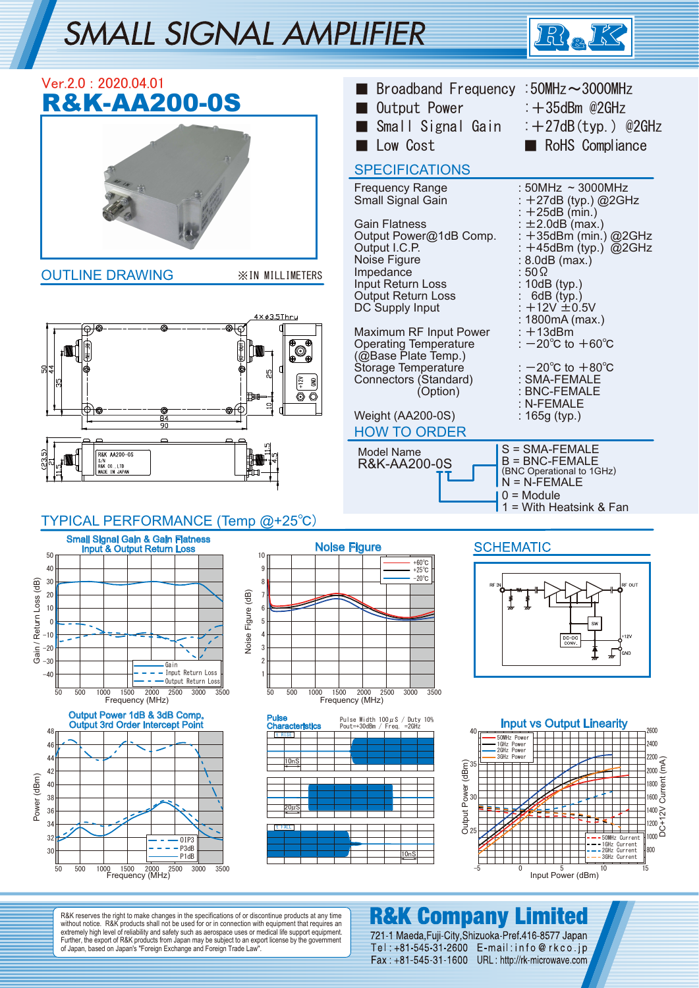# **SMALL SIGNAL AMPLIFIER**





R&K reserves the right to make changes in the specifications of or discontinue products at any time without notice. R&K products shall not be used for or in connection with equipment that requires an extremely high level of reliability and safety such as aerospace uses or medical life support equipment. Further, the export of R&K products from Japan may be subject to an export license by the government of Japan, based on Japan's "Foreign Exchange and Foreign Trade Law".

### **R&K Company Limited**

721-1 Maeda, Fuji-City, Shizuoka-Pref. 416-8577 Japan Tel: +81-545-31-2600 E-mail: info@rkco.jp Fax: +81-545-31-1600 URL: http://rk-microwave.com